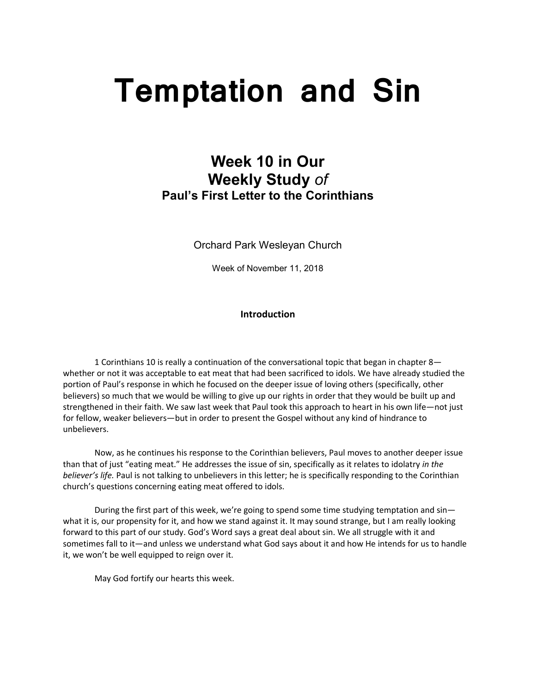# **Temptation and Sin**

# **Week 10 in Our Weekly Study** *of* **Paul's First Letter to the Corinthians**

Orchard Park Wesleyan Church

Week of November 11, 2018

# **Introduction**

1 Corinthians 10 is really a continuation of the conversational topic that began in chapter 8 whether or not it was acceptable to eat meat that had been sacrificed to idols. We have already studied the portion of Paul's response in which he focused on the deeper issue of loving others (specifically, other believers) so much that we would be willing to give up our rights in order that they would be built up and strengthened in their faith. We saw last week that Paul took this approach to heart in his own life—not just for fellow, weaker believers—but in order to present the Gospel without any kind of hindrance to unbelievers.

Now, as he continues his response to the Corinthian believers, Paul moves to another deeper issue than that of just "eating meat." He addresses the issue of sin, specifically as it relates to idolatry *in the believer's life.* Paul is not talking to unbelievers in this letter; he is specifically responding to the Corinthian church's questions concerning eating meat offered to idols.

During the first part of this week, we're going to spend some time studying temptation and sinwhat it is, our propensity for it, and how we stand against it. It may sound strange, but I am really looking forward to this part of our study. God's Word says a great deal about sin. We all struggle with it and sometimes fall to it—and unless we understand what God says about it and how He intends for us to handle it, we won't be well equipped to reign over it.

May God fortify our hearts this week.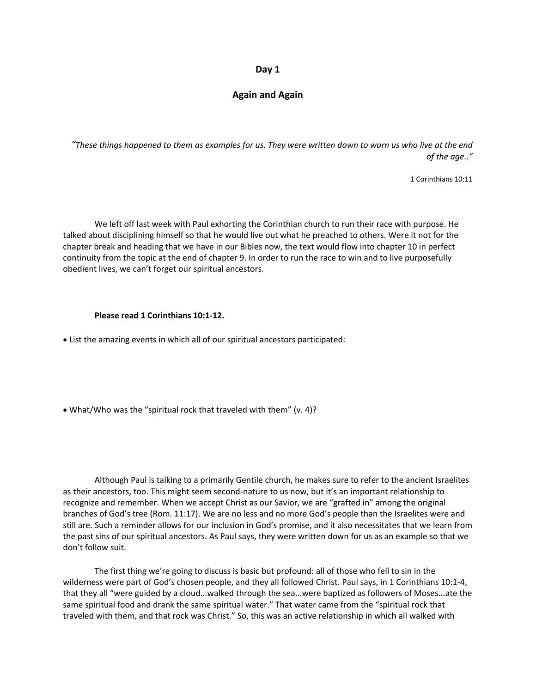# **Again and Again**

*"These things happened to them as examples for us. They were written down to warn us who live at the end of the age.."*

1 Corinthians 10:11

We left off last week with Paul exhorting the Corinthian church to run their race with purpose. He talked about disciplining himself so that he would live out what he preached to others. Were it not for the chapter break and heading that we have in our Bibles now, the text would flow into chapter 10 in perfect continuity from the topic at the end of chapter 9. In order to run the race to win and to live purposefully obedient lives, we can't forget our spiritual ancestors.

#### **Please read 1 Corinthians 10:1-12.**

• List the amazing events in which all of our spiritual ancestors participated:

• What/Who was the "spiritual rock that traveled with them" (v. 4)?

Although Paul is talking to a primarily Gentile church, he makes sure to refer to the ancient Israelites as their ancestors, too. This might seem second-nature to us now, but it's an important relationship to recognize and remember. When we accept Christ as our Savior, we are "grafted in" among the original branches of God's tree (Rom. 11:17). We are no less and no more God's people than the Israelites were and still are. Such a reminder allows for our inclusion in God's promise, and it also necessitates that we learn from the past sins of our spiritual ancestors. As Paul says, they were written down for us as an example so that we don't follow suit.

The first thing we're going to discuss is basic but profound: all of those who fell to sin in the wilderness were part of God's chosen people, and they all followed Christ. Paul says, in 1 Corinthians 10:1-4, that they all "were guided by a cloud...walked through the sea...were baptized as followers of Moses...ate the same spiritual food and drank the same spiritual water." That water came from the "spiritual rock that traveled with them, and that rock was Christ." So, this was an active relationship in which all walked with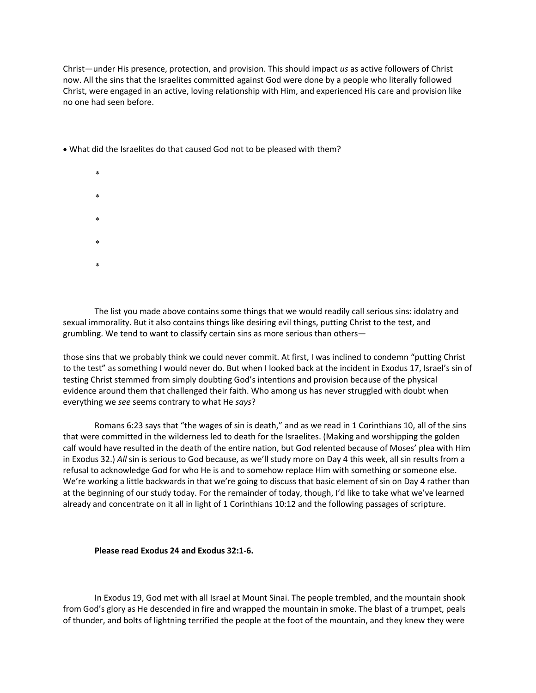Christ—under His presence, protection, and provision. This should impact *us* as active followers of Christ now. All the sins that the Israelites committed against God were done by a people who literally followed Christ, were engaged in an active, loving relationship with Him, and experienced His care and provision like no one had seen before.

- What did the Israelites do that caused God not to be pleased with them?
	- $\ast$

 $\mathbf{x}$ 

- $\ast$
- 
- 
- $\mathbf{x}$
- $\mathbf{x}$

The list you made above contains some things that we would readily call serious sins: idolatry and sexual immorality. But it also contains things like desiring evil things, putting Christ to the test, and grumbling. We tend to want to classify certain sins as more serious than others—

those sins that we probably think we could never commit. At first, I was inclined to condemn "putting Christ to the test" as something I would never do. But when I looked back at the incident in Exodus 17, Israel's sin of testing Christ stemmed from simply doubting God's intentions and provision because of the physical evidence around them that challenged their faith. Who among us has never struggled with doubt when everything we *see* seems contrary to what He *says*?

Romans 6:23 says that "the wages of sin is death," and as we read in 1 Corinthians 10, all of the sins that were committed in the wilderness led to death for the Israelites. (Making and worshipping the golden calf would have resulted in the death of the entire nation, but God relented because of Moses' plea with Him in Exodus 32.) *All* sin is serious to God because, as we'll study more on Day 4 this week, all sin results from a refusal to acknowledge God for who He is and to somehow replace Him with something or someone else. We're working a little backwards in that we're going to discuss that basic element of sin on Day 4 rather than at the beginning of our study today. For the remainder of today, though, I'd like to take what we've learned already and concentrate on it all in light of 1 Corinthians 10:12 and the following passages of scripture.

### **Please read Exodus 24 and Exodus 32:1-6.**

In Exodus 19, God met with all Israel at Mount Sinai. The people trembled, and the mountain shook from God's glory as He descended in fire and wrapped the mountain in smoke. The blast of a trumpet, peals of thunder, and bolts of lightning terrified the people at the foot of the mountain, and they knew they were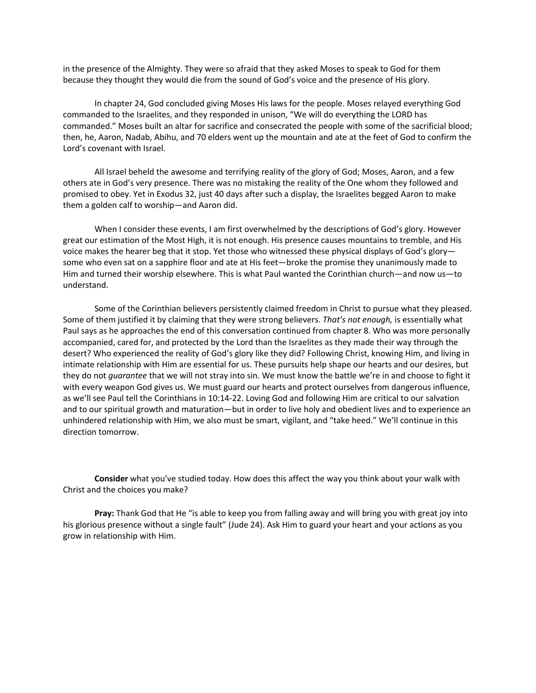in the presence of the Almighty. They were so afraid that they asked Moses to speak to God for them because they thought they would die from the sound of God's voice and the presence of His glory.

In chapter 24, God concluded giving Moses His laws for the people. Moses relayed everything God commanded to the Israelites, and they responded in unison, "We will do everything the LORD has commanded." Moses built an altar for sacrifice and consecrated the people with some of the sacrificial blood; then, he, Aaron, Nadab, Abihu, and 70 elders went up the mountain and ate at the feet of God to confirm the Lord's covenant with Israel.

All Israel beheld the awesome and terrifying reality of the glory of God; Moses, Aaron, and a few others ate in God's very presence. There was no mistaking the reality of the One whom they followed and promised to obey. Yet in Exodus 32, just 40 days after such a display, the Israelites begged Aaron to make them a golden calf to worship—and Aaron did.

When I consider these events, I am first overwhelmed by the descriptions of God's glory. However great our estimation of the Most High, it is not enough. His presence causes mountains to tremble, and His voice makes the hearer beg that it stop. Yet those who witnessed these physical displays of God's glory some who even sat on a sapphire floor and ate at His feet—broke the promise they unanimously made to Him and turned their worship elsewhere. This is what Paul wanted the Corinthian church—and now us—to understand.

Some of the Corinthian believers persistently claimed freedom in Christ to pursue what they pleased. Some of them justified it by claiming that they were strong believers. *That's not enough,* is essentially what Paul says as he approaches the end of this conversation continued from chapter 8. Who was more personally accompanied, cared for, and protected by the Lord than the Israelites as they made their way through the desert? Who experienced the reality of God's glory like they did? Following Christ, knowing Him, and living in intimate relationship with Him are essential for us. These pursuits help shape our hearts and our desires, but they do not *guarantee* that we will not stray into sin. We must know the battle we're in and choose to fight it with every weapon God gives us. We must guard our hearts and protect ourselves from dangerous influence, as we'll see Paul tell the Corinthians in 10:14-22. Loving God and following Him are critical to our salvation and to our spiritual growth and maturation—but in order to live holy and obedient lives and to experience an unhindered relationship with Him, we also must be smart, vigilant, and "take heed." We'll continue in this direction tomorrow.

**Consider** what you've studied today. How does this affect the way you think about your walk with Christ and the choices you make?

**Pray:** Thank God that He "is able to keep you from falling away and will bring you with great joy into his glorious presence without a single fault" (Jude 24). Ask Him to guard your heart and your actions as you grow in relationship with Him.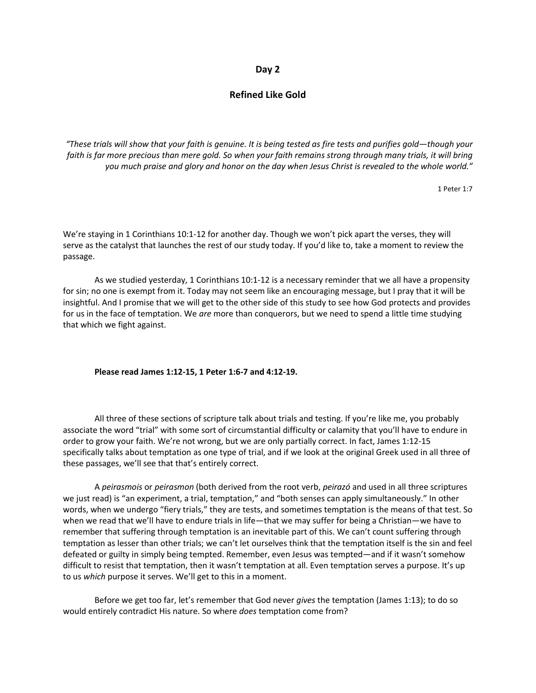# **Refined Like Gold**

*"These trials will show that your faith is genuine. It is being tested as fire tests and purifies gold—though your*  faith is far more precious than mere gold. So when your faith remains strong through many trials, it will bring *you much praise and glory and honor on the day when Jesus Christ is revealed to the whole world."*

1 Peter 1:7

We're staying in 1 Corinthians 10:1-12 for another day. Though we won't pick apart the verses, they will serve as the catalyst that launches the rest of our study today. If you'd like to, take a moment to review the passage.

As we studied yesterday, 1 Corinthians 10:1-12 is a necessary reminder that we all have a propensity for sin; no one is exempt from it. Today may not seem like an encouraging message, but I pray that it will be insightful. And I promise that we will get to the other side of this study to see how God protects and provides for us in the face of temptation. We *are* more than conquerors, but we need to spend a little time studying that which we fight against.

#### **Please read James 1:12-15, 1 Peter 1:6-7 and 4:12-19.**

All three of these sections of scripture talk about trials and testing. If you're like me, you probably associate the word "trial" with some sort of circumstantial difficulty or calamity that you'll have to endure in order to grow your faith. We're not wrong, but we are only partially correct. In fact, James 1:12-15 specifically talks about temptation as one type of trial, and if we look at the original Greek used in all three of these passages, we'll see that that's entirely correct.

A *peirasmois* or *peirasmon* (both derived from the root verb, *peirazó* and used in all three scriptures we just read) is "an experiment, a trial, temptation," and "both senses can apply simultaneously." In other words, when we undergo "fiery trials," they are tests, and sometimes temptation is the means of that test. So when we read that we'll have to endure trials in life—that we may suffer for being a Christian—we have to remember that suffering through temptation is an inevitable part of this. We can't count suffering through temptation as lesser than other trials; we can't let ourselves think that the temptation itself is the sin and feel defeated or guilty in simply being tempted. Remember, even Jesus was tempted—and if it wasn't somehow difficult to resist that temptation, then it wasn't temptation at all. Even temptation serves a purpose. It's up to us *which* purpose it serves. We'll get to this in a moment.

Before we get too far, let's remember that God never *gives* the temptation (James 1:13); to do so would entirely contradict His nature. So where *does* temptation come from?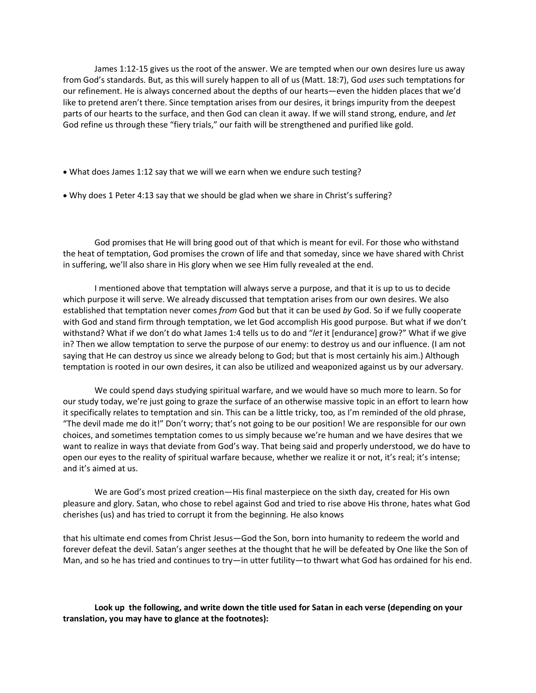James 1:12-15 gives us the root of the answer. We are tempted when our own desires lure us away from God's standards. But, as this will surely happen to all of us (Matt. 18:7), God *uses* such temptations for our refinement. He is always concerned about the depths of our hearts—even the hidden places that we'd like to pretend aren't there. Since temptation arises from our desires, it brings impurity from the deepest parts of our hearts to the surface, and then God can clean it away. If we will stand strong, endure, and *let* God refine us through these "fiery trials," our faith will be strengthened and purified like gold.

- What does James 1:12 say that we will we earn when we endure such testing?
- Why does 1 Peter 4:13 say that we should be glad when we share in Christ's suffering?

God promises that He will bring good out of that which is meant for evil. For those who withstand the heat of temptation, God promises the crown of life and that someday, since we have shared with Christ in suffering, we'll also share in His glory when we see Him fully revealed at the end.

I mentioned above that temptation will always serve a purpose, and that it is up to us to decide which purpose it will serve. We already discussed that temptation arises from our own desires. We also established that temptation never comes *from* God but that it can be used *by* God. So if we fully cooperate with God and stand firm through temptation, we let God accomplish His good purpose. But what if we don't withstand? What if we don't do what James 1:4 tells us to do and "*let* it [endurance] grow?" What if we give in? Then we allow temptation to serve the purpose of our enemy: to destroy us and our influence. (I am not saying that He can destroy us since we already belong to God; but that is most certainly his aim.) Although temptation is rooted in our own desires, it can also be utilized and weaponized against us by our adversary.

We could spend days studying spiritual warfare, and we would have so much more to learn. So for our study today, we're just going to graze the surface of an otherwise massive topic in an effort to learn how it specifically relates to temptation and sin. This can be a little tricky, too, as I'm reminded of the old phrase, "The devil made me do it!" Don't worry; that's not going to be our position! We are responsible for our own choices, and sometimes temptation comes to us simply because we're human and we have desires that we want to realize in ways that deviate from God's way. That being said and properly understood, we do have to open our eyes to the reality of spiritual warfare because, whether we realize it or not, it's real; it's intense; and it's aimed at us.

We are God's most prized creation—His final masterpiece on the sixth day, created for His own pleasure and glory. Satan, who chose to rebel against God and tried to rise above His throne, hates what God cherishes (us) and has tried to corrupt it from the beginning. He also knows

that his ultimate end comes from Christ Jesus—God the Son, born into humanity to redeem the world and forever defeat the devil. Satan's anger seethes at the thought that he will be defeated by One like the Son of Man, and so he has tried and continues to try—in utter futility—to thwart what God has ordained for his end.

**Look up the following, and write down the title used for Satan in each verse (depending on your translation, you may have to glance at the footnotes):**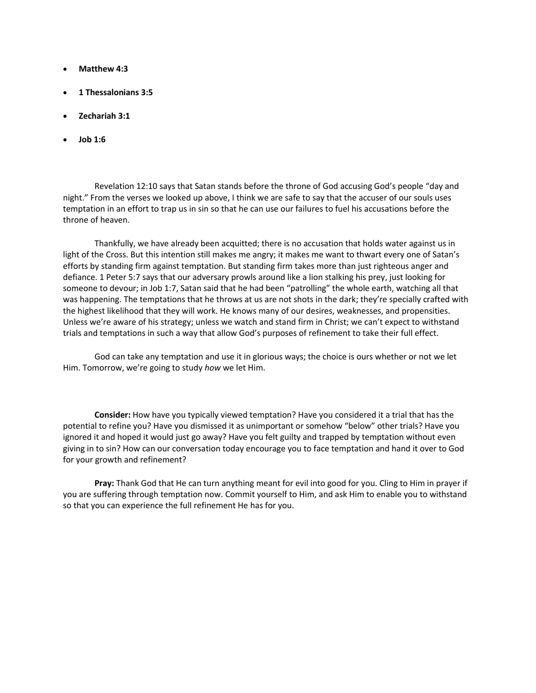- **Matthew 4:3**
- **1 Thessalonians 3:5**
- **Zechariah 3:1**
- **Job 1:6**

Revelation 12:10 says that Satan stands before the throne of God accusing God's people "day and night." From the verses we looked up above, I think we are safe to say that the accuser of our souls uses temptation in an effort to trap us in sin so that he can use our failures to fuel his accusations before the throne of heaven.

Thankfully, we have already been acquitted; there is no accusation that holds water against us in light of the Cross. But this intention still makes me angry; it makes me want to thwart every one of Satan's efforts by standing firm against temptation. But standing firm takes more than just righteous anger and defiance. 1 Peter 5:7 says that our adversary prowls around like a lion stalking his prey, just looking for someone to devour; in Job 1:7, Satan said that he had been "patrolling" the whole earth, watching all that was happening. The temptations that he throws at us are not shots in the dark; they're specially crafted with the highest likelihood that they will work. He knows many of our desires, weaknesses, and propensities. Unless we're aware of his strategy; unless we watch and stand firm in Christ; we can't expect to withstand trials and temptations in such a way that allow God's purposes of refinement to take their full effect.

God can take any temptation and use it in glorious ways; the choice is ours whether or not we let Him. Tomorrow, we're going to study *how* we let Him.

**Consider:** How have you typically viewed temptation? Have you considered it a trial that has the potential to refine you? Have you dismissed it as unimportant or somehow "below" other trials? Have you ignored it and hoped it would just go away? Have you felt guilty and trapped by temptation without even giving in to sin? How can our conversation today encourage you to face temptation and hand it over to God for your growth and refinement?

**Pray:** Thank God that He can turn anything meant for evil into good for you. Cling to Him in prayer if you are suffering through temptation now. Commit yourself to Him, and ask Him to enable you to withstand so that you can experience the full refinement He has for you.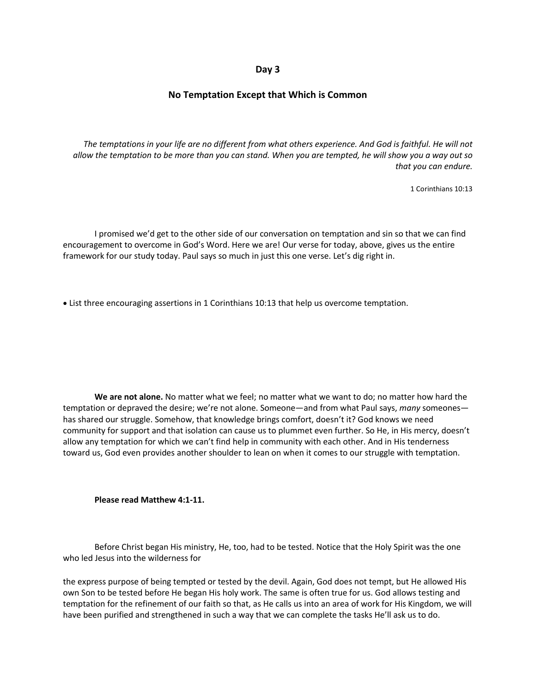# **No Temptation Except that Which is Common**

*The temptations in your life are no different from what others experience. And God is faithful. He will not allow the temptation to be more than you can stand. When you are tempted, he will show you a way out so that you can endure.*

1 Corinthians 10:13

I promised we'd get to the other side of our conversation on temptation and sin so that we can find encouragement to overcome in God's Word. Here we are! Our verse for today, above, gives us the entire framework for our study today. Paul says so much in just this one verse. Let's dig right in.

• List three encouraging assertions in 1 Corinthians 10:13 that help us overcome temptation.

**We are not alone.** No matter what we feel; no matter what we want to do; no matter how hard the temptation or depraved the desire; we're not alone. Someone—and from what Paul says, *many* someones has shared our struggle. Somehow, that knowledge brings comfort, doesn't it? God knows we need community for support and that isolation can cause us to plummet even further. So He, in His mercy, doesn't allow any temptation for which we can't find help in community with each other. And in His tenderness toward us, God even provides another shoulder to lean on when it comes to our struggle with temptation.

**Please read Matthew 4:1-11.**

Before Christ began His ministry, He, too, had to be tested. Notice that the Holy Spirit was the one who led Jesus into the wilderness for

the express purpose of being tempted or tested by the devil. Again, God does not tempt, but He allowed His own Son to be tested before He began His holy work. The same is often true for us. God allows testing and temptation for the refinement of our faith so that, as He calls us into an area of work for His Kingdom, we will have been purified and strengthened in such a way that we can complete the tasks He'll ask us to do.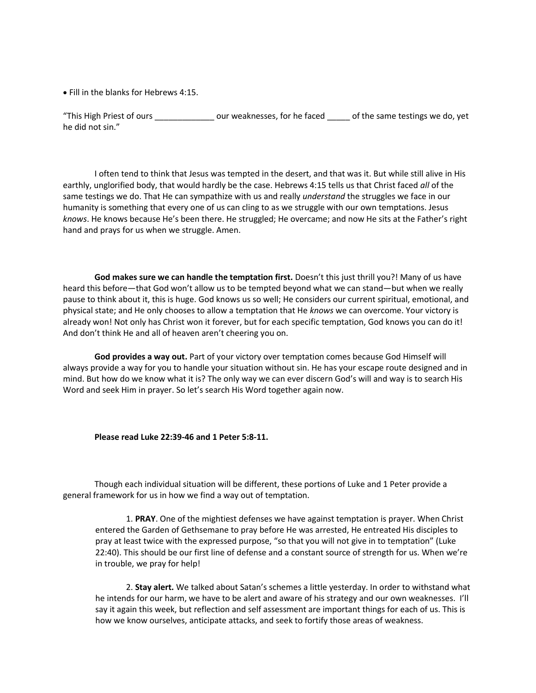• Fill in the blanks for Hebrews 4:15.

"This High Priest of ours \_\_\_\_\_\_\_\_\_\_\_\_\_ our weaknesses, for he faced \_\_\_\_\_ of the same testings we do, yet he did not sin."

I often tend to think that Jesus was tempted in the desert, and that was it. But while still alive in His earthly, unglorified body, that would hardly be the case. Hebrews 4:15 tells us that Christ faced *all* of the same testings we do. That He can sympathize with us and really *understand* the struggles we face in our humanity is something that every one of us can cling to as we struggle with our own temptations. Jesus *knows*. He knows because He's been there. He struggled; He overcame; and now He sits at the Father's right hand and prays for us when we struggle. Amen.

**God makes sure we can handle the temptation first.** Doesn't this just thrill you?! Many of us have heard this before—that God won't allow us to be tempted beyond what we can stand—but when we really pause to think about it, this is huge. God knows us so well; He considers our current spiritual, emotional, and physical state; and He only chooses to allow a temptation that He *knows* we can overcome. Your victory is already won! Not only has Christ won it forever, but for each specific temptation, God knows you can do it! And don't think He and all of heaven aren't cheering you on.

**God provides a way out.** Part of your victory over temptation comes because God Himself will always provide a way for you to handle your situation without sin. He has your escape route designed and in mind. But how do we know what it is? The only way we can ever discern God's will and way is to search His Word and seek Him in prayer. So let's search His Word together again now.

#### **Please read Luke 22:39-46 and 1 Peter 5:8-11.**

Though each individual situation will be different, these portions of Luke and 1 Peter provide a general framework for us in how we find a way out of temptation.

1. **PRAY**. One of the mightiest defenses we have against temptation is prayer. When Christ entered the Garden of Gethsemane to pray before He was arrested, He entreated His disciples to pray at least twice with the expressed purpose, "so that you will not give in to temptation" (Luke 22:40). This should be our first line of defense and a constant source of strength for us. When we're in trouble, we pray for help!

2. **Stay alert.** We talked about Satan's schemes a little yesterday. In order to withstand what he intends for our harm, we have to be alert and aware of his strategy and our own weaknesses. I'll say it again this week, but reflection and self assessment are important things for each of us. This is how we know ourselves, anticipate attacks, and seek to fortify those areas of weakness.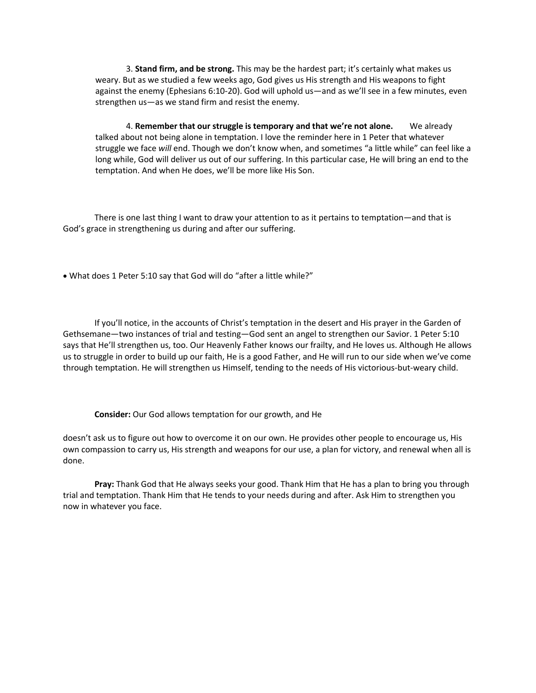3. **Stand firm, and be strong.** This may be the hardest part; it's certainly what makes us weary. But as we studied a few weeks ago, God gives us His strength and His weapons to fight against the enemy (Ephesians 6:10-20). God will uphold us—and as we'll see in a few minutes, even strengthen us—as we stand firm and resist the enemy.

4. **Remember that our struggle is temporary and that we're not alone.** We already talked about not being alone in temptation. I love the reminder here in 1 Peter that whatever struggle we face *will* end. Though we don't know when, and sometimes "a little while" can feel like a long while, God will deliver us out of our suffering. In this particular case, He will bring an end to the temptation. And when He does, we'll be more like His Son.

There is one last thing I want to draw your attention to as it pertains to temptation—and that is God's grace in strengthening us during and after our suffering.

• What does 1 Peter 5:10 say that God will do "after a little while?"

If you'll notice, in the accounts of Christ's temptation in the desert and His prayer in the Garden of Gethsemane—two instances of trial and testing—God sent an angel to strengthen our Savior. 1 Peter 5:10 says that He'll strengthen us, too. Our Heavenly Father knows our frailty, and He loves us. Although He allows us to struggle in order to build up our faith, He is a good Father, and He will run to our side when we've come through temptation. He will strengthen us Himself, tending to the needs of His victorious-but-weary child.

**Consider:** Our God allows temptation for our growth, and He

doesn't ask us to figure out how to overcome it on our own. He provides other people to encourage us, His own compassion to carry us, His strength and weapons for our use, a plan for victory, and renewal when all is done.

**Pray:** Thank God that He always seeks your good. Thank Him that He has a plan to bring you through trial and temptation. Thank Him that He tends to your needs during and after. Ask Him to strengthen you now in whatever you face.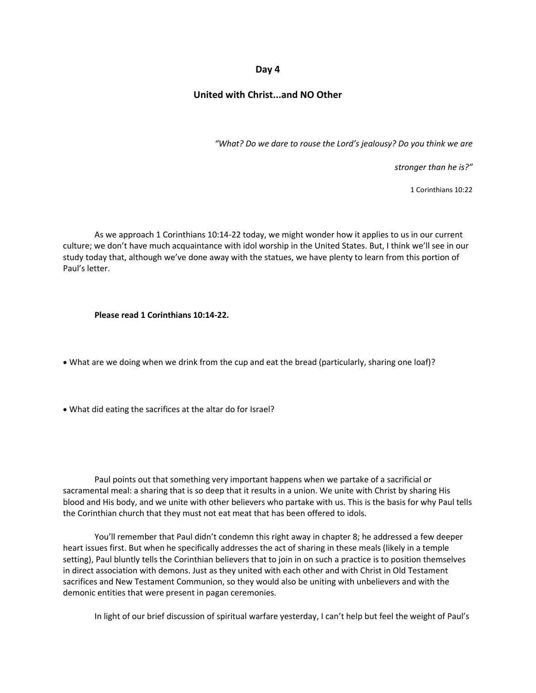# **United with Christ...and NO Other**

*"What? Do we dare to rouse the Lord's jealousy? Do you think we are* 

*stronger than he is?"*

1 Corinthians 10:22

As we approach 1 Corinthians 10:14-22 today, we might wonder how it applies to us in our current culture; we don't have much acquaintance with idol worship in the United States. But, I think we'll see in our study today that, although we've done away with the statues, we have plenty to learn from this portion of Paul's letter.

**Please read 1 Corinthians 10:14-22.**

• What are we doing when we drink from the cup and eat the bread (particularly, sharing one loaf)?

• What did eating the sacrifices at the altar do for Israel?

Paul points out that something very important happens when we partake of a sacrificial or sacramental meal: a sharing that is so deep that it results in a union. We unite with Christ by sharing His blood and His body, and we unite with other believers who partake with us. This is the basis for why Paul tells the Corinthian church that they must not eat meat that has been offered to idols.

You'll remember that Paul didn't condemn this right away in chapter 8; he addressed a few deeper heart issues first. But when he specifically addresses the act of sharing in these meals (likely in a temple setting), Paul bluntly tells the Corinthian believers that to join in on such a practice is to position themselves in direct association with demons. Just as they united with each other and with Christ in Old Testament sacrifices and New Testament Communion, so they would also be uniting with unbelievers and with the demonic entities that were present in pagan ceremonies.

In light of our brief discussion of spiritual warfare yesterday, I can't help but feel the weight of Paul's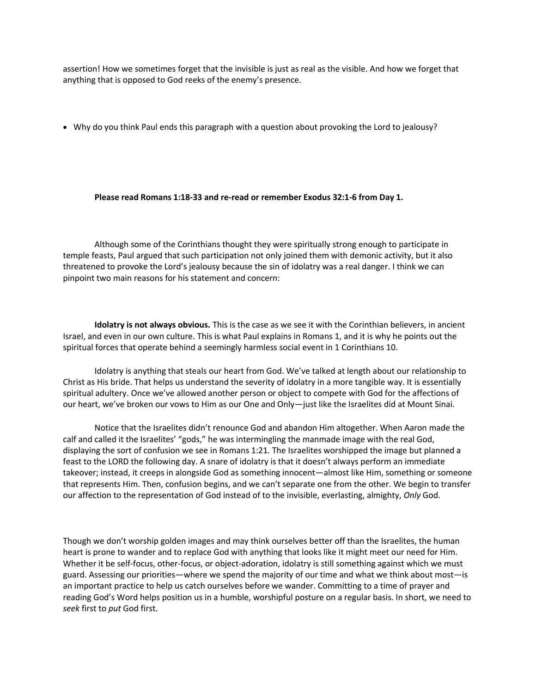assertion! How we sometimes forget that the invisible is just as real as the visible. And how we forget that anything that is opposed to God reeks of the enemy's presence.

• Why do you think Paul ends this paragraph with a question about provoking the Lord to jealousy?

#### **Please read Romans 1:18-33 and re-read or remember Exodus 32:1-6 from Day 1.**

Although some of the Corinthians thought they were spiritually strong enough to participate in temple feasts, Paul argued that such participation not only joined them with demonic activity, but it also threatened to provoke the Lord's jealousy because the sin of idolatry was a real danger. I think we can pinpoint two main reasons for his statement and concern:

**Idolatry is not always obvious.** This is the case as we see it with the Corinthian believers, in ancient Israel, and even in our own culture. This is what Paul explains in Romans 1, and it is why he points out the spiritual forces that operate behind a seemingly harmless social event in 1 Corinthians 10.

Idolatry is anything that steals our heart from God. We've talked at length about our relationship to Christ as His bride. That helps us understand the severity of idolatry in a more tangible way. It is essentially spiritual adultery. Once we've allowed another person or object to compete with God for the affections of our heart, we've broken our vows to Him as our One and Only—just like the Israelites did at Mount Sinai.

Notice that the Israelites didn't renounce God and abandon Him altogether. When Aaron made the calf and called it the Israelites' "gods," he was intermingling the manmade image with the real God, displaying the sort of confusion we see in Romans 1:21. The Israelites worshipped the image but planned a feast to the LORD the following day. A snare of idolatry is that it doesn't always perform an immediate takeover; instead, it creeps in alongside God as something innocent—almost like Him, something or someone that represents Him. Then, confusion begins, and we can't separate one from the other. We begin to transfer our affection to the representation of God instead of to the invisible, everlasting, almighty, *Only* God.

Though we don't worship golden images and may think ourselves better off than the Israelites, the human heart is prone to wander and to replace God with anything that looks like it might meet our need for Him. Whether it be self-focus, other-focus, or object-adoration, idolatry is still something against which we must guard. Assessing our priorities—where we spend the majority of our time and what we think about most—is an important practice to help us catch ourselves before we wander. Committing to a time of prayer and reading God's Word helps position us in a humble, worshipful posture on a regular basis. In short, we need to *seek* first to *put* God first.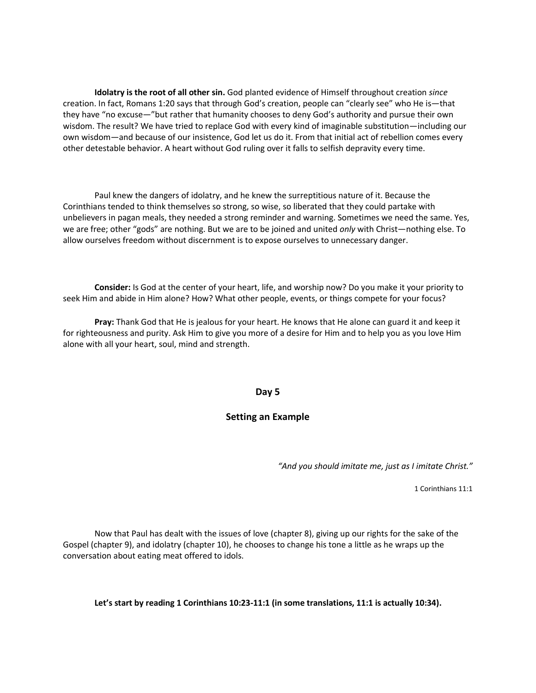**Idolatry is the root of all other sin.** God planted evidence of Himself throughout creation *since* creation. In fact, Romans 1:20 says that through God's creation, people can "clearly see" who He is—that they have "no excuse—"but rather that humanity chooses to deny God's authority and pursue their own wisdom. The result? We have tried to replace God with every kind of imaginable substitution—including our own wisdom—and because of our insistence, God let us do it. From that initial act of rebellion comes every other detestable behavior. A heart without God ruling over it falls to selfish depravity every time.

Paul knew the dangers of idolatry, and he knew the surreptitious nature of it. Because the Corinthians tended to think themselves so strong, so wise, so liberated that they could partake with unbelievers in pagan meals, they needed a strong reminder and warning. Sometimes we need the same. Yes, we are free; other "gods" are nothing. But we are to be joined and united *only* with Christ—nothing else. To allow ourselves freedom without discernment is to expose ourselves to unnecessary danger.

**Consider:** Is God at the center of your heart, life, and worship now? Do you make it your priority to seek Him and abide in Him alone? How? What other people, events, or things compete for your focus?

**Pray:** Thank God that He is jealous for your heart. He knows that He alone can guard it and keep it for righteousness and purity. Ask Him to give you more of a desire for Him and to help you as you love Him alone with all your heart, soul, mind and strength.

# **Day 5**

# **Setting an Example**

*"And you should imitate me, just as I imitate Christ."*

1 Corinthians 11:1

Now that Paul has dealt with the issues of love (chapter 8), giving up our rights for the sake of the Gospel (chapter 9), and idolatry (chapter 10), he chooses to change his tone a little as he wraps up the conversation about eating meat offered to idols.

**Let's start by reading 1 Corinthians 10:23-11:1 (in some translations, 11:1 is actually 10:34).**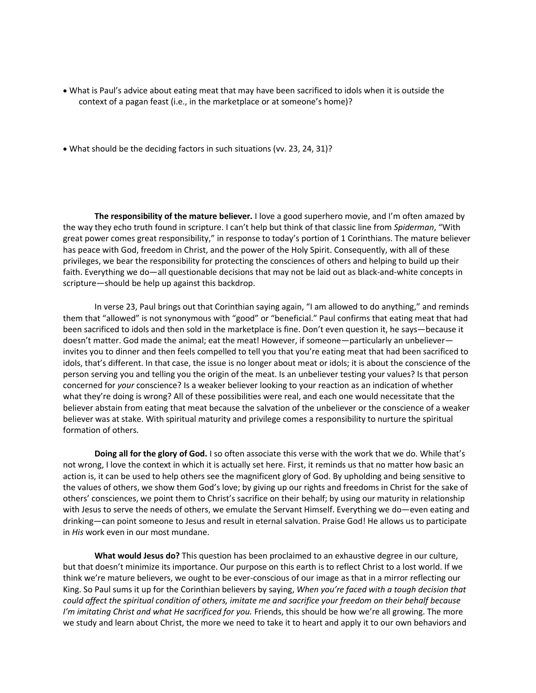- What is Paul's advice about eating meat that may have been sacrificed to idols when it is outside the context of a pagan feast (i.e., in the marketplace or at someone's home)?
- What should be the deciding factors in such situations (vv. 23, 24, 31)?

**The responsibility of the mature believer.** I love a good superhero movie, and I'm often amazed by the way they echo truth found in scripture. I can't help but think of that classic line from *Spiderman*, "With great power comes great responsibility," in response to today's portion of 1 Corinthians. The mature believer has peace with God, freedom in Christ, and the power of the Holy Spirit. Consequently, with all of these privileges, we bear the responsibility for protecting the consciences of others and helping to build up their faith. Everything we do—all questionable decisions that may not be laid out as black-and-white concepts in scripture—should be help up against this backdrop.

In verse 23, Paul brings out that Corinthian saying again, "I am allowed to do anything," and reminds them that "allowed" is not synonymous with "good" or "beneficial." Paul confirms that eating meat that had been sacrificed to idols and then sold in the marketplace is fine. Don't even question it, he says—because it doesn't matter. God made the animal; eat the meat! However, if someone—particularly an unbeliever invites you to dinner and then feels compelled to tell you that you're eating meat that had been sacrificed to idols, that's different. In that case, the issue is no longer about meat or idols; it is about the conscience of the person serving you and telling you the origin of the meat. Is an unbeliever testing your values? Is that person concerned for *your* conscience? Is a weaker believer looking to your reaction as an indication of whether what they're doing is wrong? All of these possibilities were real, and each one would necessitate that the believer abstain from eating that meat because the salvation of the unbeliever or the conscience of a weaker believer was at stake. With spiritual maturity and privilege comes a responsibility to nurture the spiritual formation of others.

**Doing all for the glory of God.** I so often associate this verse with the work that we do. While that's not wrong, I love the context in which it is actually set here. First, it reminds us that no matter how basic an action is, it can be used to help others see the magnificent glory of God. By upholding and being sensitive to the values of others, we show them God's love; by giving up our rights and freedoms in Christ for the sake of others' consciences, we point them to Christ's sacrifice on their behalf; by using our maturity in relationship with Jesus to serve the needs of others, we emulate the Servant Himself. Everything we do—even eating and drinking—can point someone to Jesus and result in eternal salvation. Praise God! He allows us to participate in *His* work even in our most mundane.

**What would Jesus do?** This question has been proclaimed to an exhaustive degree in our culture, but that doesn't minimize its importance. Our purpose on this earth is to reflect Christ to a lost world. If we think we're mature believers, we ought to be ever-conscious of our image as that in a mirror reflecting our King. So Paul sums it up for the Corinthian believers by saying, *When you're faced with a tough decision that could affect the spiritual condition of others, imitate me and sacrifice your freedom on their behalf because I'm imitating Christ and what He sacrificed for you.* Friends, this should be how we're all growing. The more we study and learn about Christ, the more we need to take it to heart and apply it to our own behaviors and